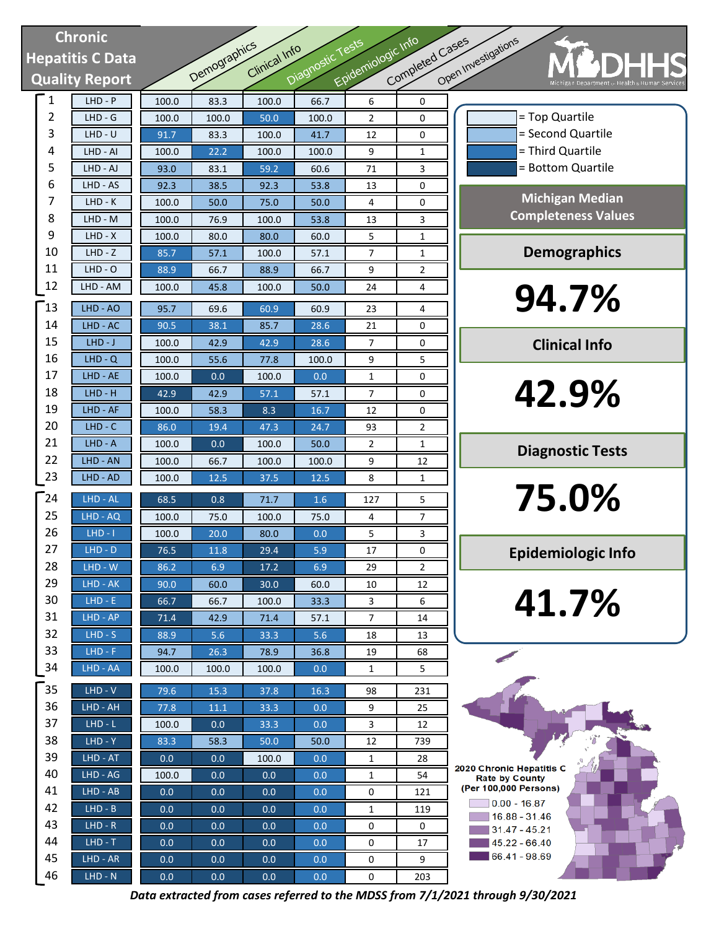# **Chronic Hepatitis C Data Quality Report**

| <b>Chronic</b>   |                       |         |              |               |                  | Epidemiologic Info | Completed Cases |          |
|------------------|-----------------------|---------|--------------|---------------|------------------|--------------------|-----------------|----------|
| lepatitis C Data |                       |         |              | Clinical Info |                  |                    |                 |          |
|                  | <b>Quality Report</b> |         | Demographics |               | Diagnostic Tests |                    |                 | Open Inv |
| 1                | $LHD - P$             | 100.0   | 83.3         | 100.0         | 66.7             | 6                  | 0               |          |
| 2                | $LHD - G$             | 100.0   | 100.0        | 50.0          | 100.0            | 2                  | 0               |          |
| 3                | $LHD - U$             | 91.7    | 83.3         | 100.0         | 41.7             | 12                 | 0               |          |
| 4                | LHD - AI              | 100.0   | 22.2         | 100.0         | 100.0            | 9                  | 1               |          |
| 5                | LHD - AJ              | 93.0    | 83.1         | 59.2          | 60.6             | 71                 | 3               |          |
| 6                | LHD - AS              | 92.3    | 38.5         | 92.3          | 53.8             | 13                 | 0               |          |
| 7                | LHD - K               | 100.0   | 50.0         | 75.0          | 50.0             | 4                  | 0               |          |
| 8                | LHD - M               | 100.0   | 76.9         | 100.0         | 53.8             | 13                 | 3               |          |
| 9                | $LHD - X$             | 100.0   | 80.0         | 80.0          | 60.0             | 5                  | 1               |          |
| 10               | $LHD - Z$             | 85.7    | 57.1         | 100.0         | 57.1             | 7                  | 1               |          |
| 11               | $LHD - O$             | 88.9    | 66.7         | 88.9          | 66.7             | 9                  | 2               |          |
| 12               | LHD - AM              | 100.0   | 45.8         | 100.0         | 50.0             | 24                 | 4               |          |
| 13               | LHD - AO              | 95.7    | 69.6         | 60.9          | 60.9             | 23                 | 4               |          |
| 14               | LHD - AC              | 90.5    | 38.1         | 85.7          | 28.6             | 21                 | 0               |          |
| 15               | $LHD-J$               | 100.0   | 42.9         | 42.9          | 28.6             | 7                  | 0               |          |
| 16               | $LHD - Q$             | 100.0   | 55.6         | 77.8          | 100.0            | 9                  | 5               |          |
| 17               | LHD - AE              | 100.0   | 0.0          | 100.0         | 0.0              | 1                  | 0               |          |
| 18               | $LHD - H$             | 42.9    | 42.9         | 57.1          | 57.1             | 7                  | 0               |          |
| 19               | LHD - AF              | 100.0   | 58.3         | 8.3           | 16.7             | 12                 | 0               |          |
| 20               | $LHD - C$             | 86.0    | 19.4         | 47.3          | 24.7             | 93                 | 2               |          |
| 21               | $LHD - A$             | 100.0   | 0.0          | 100.0         | 50.0             | 2                  | 1               |          |
| 22               | LHD - AN              | 100.0   | 66.7         | 100.0         | 100.0            | 9                  | 12              |          |
| 23               | LHD - AD              | 100.0   | 12.5         | 37.5          | 12.5             | 8                  | 1               |          |
| $\sqrt{24}$      | LHD - AL              | 68.5    | 0.8          | 71.7          | 1.6              | 127                | 5               |          |
| 25               | LHD - AQ              | 100.0   | 75.0         | 100.0         | 75.0             | 4                  | 7               |          |
| 26               | $LHD - I$             | 100.0   | 20.0         | 80.0          | 0.0              | 5                  | 3               |          |
| 27               | $LHD - D$             | 76.5    | 11.8         | 29.4          | 5.9              | 17                 | 0               |          |
| 28               | $LHD - W$             | 86.2    | 6.9          | 17.2          | 6.9              | 29                 | 2               |          |
| 29               | LHD - AK              | 90.0    | 60.0         | 30.0          | 60.0             | 10                 | 12              |          |
| 30               | $LHD - E$             | 66.7    | 66.7         | 100.0         | 33.3             | 3                  | 6               |          |
| 31               | LHD - AP              | 71.4    | 42.9         | 71.4          | 57.1             | 7                  | 14              |          |
| 32               | $LHD-S$               | 88.9    | 5.6          | 33.3          | 5.6              | 18                 | 13              |          |
| 33               | $LHD - F$             | 94.7    | 26.3         | 78.9          | 36.8             | 19                 | 68              |          |
| 34               | LHD - AA              | 100.0   | 100.0        | 100.0         | 0.0              | 1                  | 5               |          |
| 35               | $LHD - V$             | 79.6    | 15.3         | 37.8          | 16.3             | 98                 | 231             |          |
| 36               | LHD - AH              | 77.8    | 11.1         | 33.3          | 0.0              | 9                  | 25              |          |
| 37               | $LHD - L$             | 100.0   | 0.0          | 33.3          | 0.0              | 3                  | 12              |          |
| 38               | $LHD - Y$             | 83.3    | 58.3         | 50.0          | 50.0             | 12                 | 739             |          |
| 39               | LHD - AT              | 0.0     | 0.0          | 100.0         | 0.0              | 1                  | 28              | 2020     |
| 40               | LHD - AG              | 100.0   | 0.0          | 0.0           | 0.0              | 1                  | 54              |          |
| 41               | $LHD - AB$            | 0.0     | 0.0          | 0.0           | 0.0              | 0                  | 121             | (Pe      |
| 42               | $LHD - B$             | 0.0     | 0.0          | 0.0           | 0.0              | $\mathbf{1}$       | 119             |          |
| 43               | $LHD - R$             | 0.0     | 0.0          | 0.0           | 0.0              | 0                  | 0               |          |
| 44               | $LHD - T$             | 0.0     | 0.0          | 0.0           | 0.0              | 0                  | 17              |          |
| 45               | LHD - AR              | 0.0     | 0.0          | 0.0           | 0.0              | 0                  | 9               |          |
| 46               | $LHD - N$             | $0.0\,$ | $0.0\,$      | 0.0           | 0.0              | $\pmb{0}$          | 203             |          |



2020 Chronic Hepatitis C **Rate by County** (Per 100,000 Persons)  $\sqrt{0.00 - 16.87}$  $16.88 - 31.46$  $31.47 - 45.21$  $145.22 - 66.40$ 66.41 - 98.69

*Data extracted from cases referred to the MDSS from 7/1/2021 through 9/30/2021*